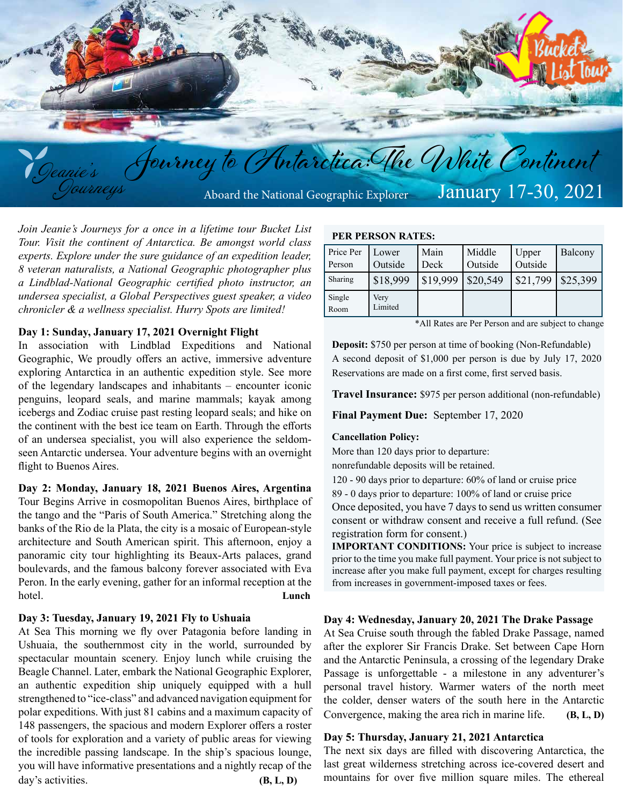

*Join Jeanie's Journeys for a once in a lifetime tour Bucket List Tour. Visit the continent of Antarctica. Be amongst world class experts. Explore under the sure guidance of an expedition leader, 8 veteran naturalists, a National Geographic photographer plus a Lindblad-National Geographic certified photo instructor, an undersea specialist, a Global Perspectives guest speaker, a video chronicler & a wellness specialist. Hurry Spots are limited!*

## **Day 1: Sunday, January 17, 2021 Overnight Flight**

In association with Lindblad Expeditions and National Geographic, We proudly offers an active, immersive adventure exploring Antarctica in an authentic expedition style. See more of the legendary landscapes and inhabitants – encounter iconic penguins, leopard seals, and marine mammals; kayak among icebergs and Zodiac cruise past resting leopard seals; and hike on the continent with the best ice team on Earth. Through the efforts of an undersea specialist, you will also experience the seldomseen Antarctic undersea. Your adventure begins with an overnight flight to Buenos Aires.

#### **Day 2: Monday, January 18, 2021 Buenos Aires, Argentina**

Tour Begins Arrive in cosmopolitan Buenos Aires, birthplace of the tango and the "Paris of South America." Stretching along the banks of the Rio de la Plata, the city is a mosaic of European-style architecture and South American spirit. This afternoon, enjoy a panoramic city tour highlighting its Beaux-Arts palaces, grand boulevards, and the famous balcony forever associated with Eva Peron. In the early evening, gather for an informal reception at the hotel. **Lunch**

## **Day 3: Tuesday, January 19, 2021 Fly to Ushuaia**

At Sea This morning we fly over Patagonia before landing in Ushuaia, the southernmost city in the world, surrounded by spectacular mountain scenery. Enjoy lunch while cruising the Beagle Channel. Later, embark the National Geographic Explorer, an authentic expedition ship uniquely equipped with a hull strengthened to "ice-class" and advanced navigation equipment for polar expeditions. With just 81 cabins and a maximum capacity of 148 passengers, the spacious and modern Explorer offers a roster of tools for exploration and a variety of public areas for viewing the incredible passing landscape. In the ship's spacious lounge, you will have informative presentations and a nightly recap of the day's activities. **(B, L, D) (B, L, D)** 

#### **PER PERSON RATES:**

| Price Per<br>Person | Lower<br>Outside | Main<br>Deck | Middle<br>Outside | Upper<br>Outside | Balcony  |
|---------------------|------------------|--------------|-------------------|------------------|----------|
| Sharing             | \$18,999         | \$19,999     | \$20,549          | \$21,799         | \$25,399 |
| Single<br>Room      | Very<br>Limited  |              |                   |                  |          |

\*All Rates are Per Person and are subject to change

**Deposit:** \$750 per person at time of booking (Non-Refundable) A second deposit of \$1,000 per person is due by July 17, 2020 Reservations are made on a first come, first served basis.

**Travel Insurance:** \$975 per person additional (non-refundable)

**Final Payment Due:** September 17, 2020

#### **Cancellation Policy:**

More than 120 days prior to departure:

nonrefundable deposits will be retained.

120 - 90 days prior to departure: 60% of land or cruise price

89 - 0 days prior to departure: 100% of land or cruise price

Once deposited, you have 7 days to send us written consumer consent or withdraw consent and receive a full refund. (See registration form for consent.)

**IMPORTANT CONDITIONS:** Your price is subject to increase prior to the time you make full payment. Your price is not subject to increase after you make full payment, except for charges resulting from increases in government-imposed taxes or fees.

## **Day 4: Wednesday, January 20, 2021 The Drake Passage**

At Sea Cruise south through the fabled Drake Passage, named after the explorer Sir Francis Drake. Set between Cape Horn and the Antarctic Peninsula, a crossing of the legendary Drake Passage is unforgettable - a milestone in any adventurer's personal travel history. Warmer waters of the north meet the colder, denser waters of the south here in the Antarctic Convergence, making the area rich in marine life. **(B, L, D)** 

## **Day 5: Thursday, January 21, 2021 Antarctica**

The next six days are filled with discovering Antarctica, the last great wilderness stretching across ice-covered desert and mountains for over five million square miles. The ethereal